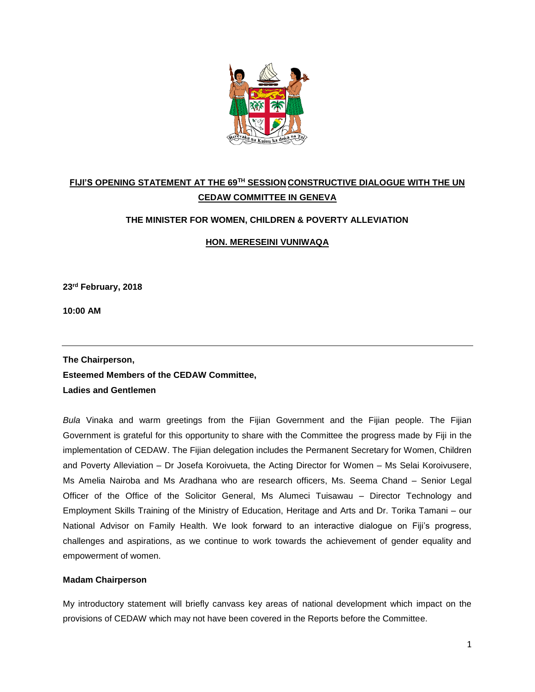

# **FIJI'S OPENING STATEMENT AT THE 69TH SESSION CONSTRUCTIVE DIALOGUE WITH THE UN CEDAW COMMITTEE IN GENEVA**

## **THE MINISTER FOR WOMEN, CHILDREN & POVERTY ALLEVIATION**

**HON. MERESEINI VUNIWAQA**

**23rd February, 2018**

**10:00 AM**

**The Chairperson, Esteemed Members of the CEDAW Committee, Ladies and Gentlemen**

*Bula* Vinaka and warm greetings from the Fijian Government and the Fijian people. The Fijian Government is grateful for this opportunity to share with the Committee the progress made by Fiji in the implementation of CEDAW. The Fijian delegation includes the Permanent Secretary for Women, Children and Poverty Alleviation – Dr Josefa Koroivueta, the Acting Director for Women – Ms Selai Koroivusere, Ms Amelia Nairoba and Ms Aradhana who are research officers, Ms. Seema Chand – Senior Legal Officer of the Office of the Solicitor General, Ms Alumeci Tuisawau – Director Technology and Employment Skills Training of the Ministry of Education, Heritage and Arts and Dr. Torika Tamani – our National Advisor on Family Health. We look forward to an interactive dialogue on Fiji's progress, challenges and aspirations, as we continue to work towards the achievement of gender equality and empowerment of women.

### **Madam Chairperson**

My introductory statement will briefly canvass key areas of national development which impact on the provisions of CEDAW which may not have been covered in the Reports before the Committee.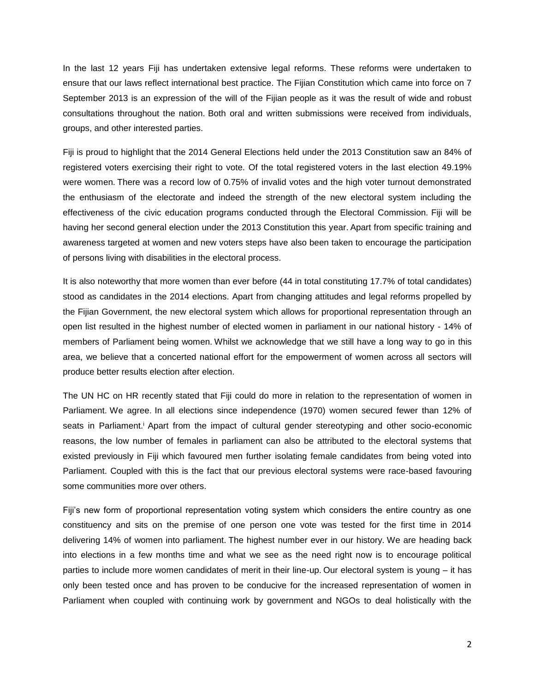In the last 12 years Fiji has undertaken extensive legal reforms. These reforms were undertaken to ensure that our laws reflect international best practice. The Fijian Constitution which came into force on 7 September 2013 is an expression of the will of the Fijian people as it was the result of wide and robust consultations throughout the nation. Both oral and written submissions were received from individuals, groups, and other interested parties.

Fiji is proud to highlight that the 2014 General Elections held under the 2013 Constitution saw an 84% of registered voters exercising their right to vote. Of the total registered voters in the last election 49.19% were women. There was a record low of 0.75% of invalid votes and the high voter turnout demonstrated the enthusiasm of the electorate and indeed the strength of the new electoral system including the effectiveness of the civic education programs conducted through the Electoral Commission. Fiji will be having her second general election under the 2013 Constitution this year. Apart from specific training and awareness targeted at women and new voters steps have also been taken to encourage the participation of persons living with disabilities in the electoral process.

It is also noteworthy that more women than ever before (44 in total constituting 17.7% of total candidates) stood as candidates in the 2014 elections. Apart from changing attitudes and legal reforms propelled by the Fijian Government, the new electoral system which allows for proportional representation through an open list resulted in the highest number of elected women in parliament in our national history - 14% of members of Parliament being women. Whilst we acknowledge that we still have a long way to go in this area, we believe that a concerted national effort for the empowerment of women across all sectors will produce better results election after election.

The UN HC on HR recently stated that Fiji could do more in relation to the representation of women in Parliament. We agree. In all elections since independence (1970) women secured fewer than 12% of seats in Parliament.<sup>j</sup> Apart from the impact of cultural gender stereotyping and other socio-economic reasons, the low number of females in parliament can also be attributed to the electoral systems that existed previously in Fiji which favoured men further isolating female candidates from being voted into Parliament. Coupled with this is the fact that our previous electoral systems were race-based favouring some communities more over others.

Fiji's new form of proportional representation voting system which considers the entire country as one constituency and sits on the premise of one person one vote was tested for the first time in 2014 delivering 14% of women into parliament. The highest number ever in our history. We are heading back into elections in a few months time and what we see as the need right now is to encourage political parties to include more women candidates of merit in their line-up. Our electoral system is young – it has only been tested once and has proven to be conducive for the increased representation of women in Parliament when coupled with continuing work by government and NGOs to deal holistically with the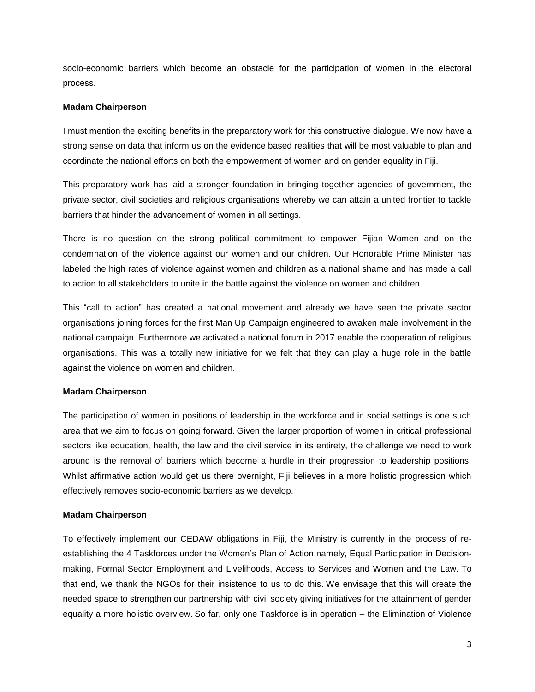socio-economic barriers which become an obstacle for the participation of women in the electoral process.

### **Madam Chairperson**

I must mention the exciting benefits in the preparatory work for this constructive dialogue. We now have a strong sense on data that inform us on the evidence based realities that will be most valuable to plan and coordinate the national efforts on both the empowerment of women and on gender equality in Fiji.

This preparatory work has laid a stronger foundation in bringing together agencies of government, the private sector, civil societies and religious organisations whereby we can attain a united frontier to tackle barriers that hinder the advancement of women in all settings.

There is no question on the strong political commitment to empower Fijian Women and on the condemnation of the violence against our women and our children. Our Honorable Prime Minister has labeled the high rates of violence against women and children as a national shame and has made a call to action to all stakeholders to unite in the battle against the violence on women and children.

This "call to action" has created a national movement and already we have seen the private sector organisations joining forces for the first Man Up Campaign engineered to awaken male involvement in the national campaign. Furthermore we activated a national forum in 2017 enable the cooperation of religious organisations. This was a totally new initiative for we felt that they can play a huge role in the battle against the violence on women and children.

## **Madam Chairperson**

The participation of women in positions of leadership in the workforce and in social settings is one such area that we aim to focus on going forward. Given the larger proportion of women in critical professional sectors like education, health, the law and the civil service in its entirety, the challenge we need to work around is the removal of barriers which become a hurdle in their progression to leadership positions. Whilst affirmative action would get us there overnight, Fiji believes in a more holistic progression which effectively removes socio-economic barriers as we develop.

## **Madam Chairperson**

To effectively implement our CEDAW obligations in Fiji, the Ministry is currently in the process of reestablishing the 4 Taskforces under the Women's Plan of Action namely, Equal Participation in Decisionmaking, Formal Sector Employment and Livelihoods, Access to Services and Women and the Law. To that end, we thank the NGOs for their insistence to us to do this. We envisage that this will create the needed space to strengthen our partnership with civil society giving initiatives for the attainment of gender equality a more holistic overview. So far, only one Taskforce is in operation – the Elimination of Violence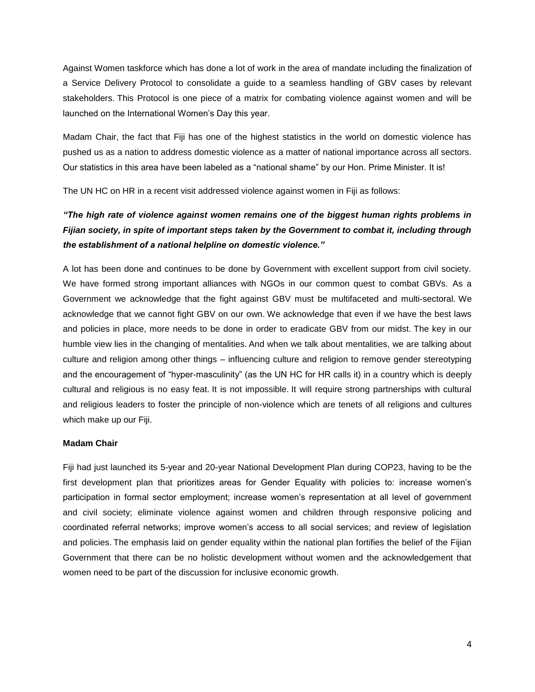Against Women taskforce which has done a lot of work in the area of mandate including the finalization of a Service Delivery Protocol to consolidate a guide to a seamless handling of GBV cases by relevant stakeholders. This Protocol is one piece of a matrix for combating violence against women and will be launched on the International Women's Day this year.

Madam Chair, the fact that Fiji has one of the highest statistics in the world on domestic violence has pushed us as a nation to address domestic violence as a matter of national importance across all sectors. Our statistics in this area have been labeled as a "national shame" by our Hon. Prime Minister. It is!

The UN HC on HR in a recent visit addressed violence against women in Fiji as follows:

## *"The high rate of violence against women remains one of the biggest human rights problems in Fijian society, in spite of important steps taken by the Government to combat it, including through the establishment of a national helpline on domestic violence."*

A lot has been done and continues to be done by Government with excellent support from civil society. We have formed strong important alliances with NGOs in our common quest to combat GBVs. As a Government we acknowledge that the fight against GBV must be multifaceted and multi-sectoral. We acknowledge that we cannot fight GBV on our own. We acknowledge that even if we have the best laws and policies in place, more needs to be done in order to eradicate GBV from our midst. The key in our humble view lies in the changing of mentalities. And when we talk about mentalities, we are talking about culture and religion among other things – influencing culture and religion to remove gender stereotyping and the encouragement of "hyper-masculinity" (as the UN HC for HR calls it) in a country which is deeply cultural and religious is no easy feat. It is not impossible. It will require strong partnerships with cultural and religious leaders to foster the principle of non-violence which are tenets of all religions and cultures which make up our Fiji.

#### **Madam Chair**

Fiji had just launched its 5-year and 20-year National Development Plan during COP23, having to be the first development plan that prioritizes areas for Gender Equality with policies to: increase women's participation in formal sector employment; increase women's representation at all level of government and civil society; eliminate violence against women and children through responsive policing and coordinated referral networks; improve women's access to all social services; and review of legislation and policies. The emphasis laid on gender equality within the national plan fortifies the belief of the Fijian Government that there can be no holistic development without women and the acknowledgement that women need to be part of the discussion for inclusive economic growth.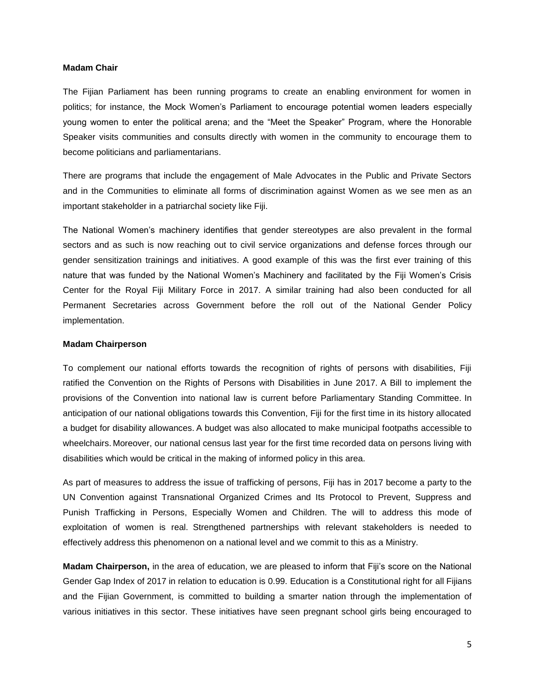#### **Madam Chair**

The Fijian Parliament has been running programs to create an enabling environment for women in politics; for instance, the Mock Women's Parliament to encourage potential women leaders especially young women to enter the political arena; and the "Meet the Speaker" Program, where the Honorable Speaker visits communities and consults directly with women in the community to encourage them to become politicians and parliamentarians.

There are programs that include the engagement of Male Advocates in the Public and Private Sectors and in the Communities to eliminate all forms of discrimination against Women as we see men as an important stakeholder in a patriarchal society like Fiji.

The National Women's machinery identifies that gender stereotypes are also prevalent in the formal sectors and as such is now reaching out to civil service organizations and defense forces through our gender sensitization trainings and initiatives. A good example of this was the first ever training of this nature that was funded by the National Women's Machinery and facilitated by the Fiji Women's Crisis Center for the Royal Fiji Military Force in 2017. A similar training had also been conducted for all Permanent Secretaries across Government before the roll out of the National Gender Policy implementation.

#### **Madam Chairperson**

To complement our national efforts towards the recognition of rights of persons with disabilities, Fiji ratified the Convention on the Rights of Persons with Disabilities in June 2017. A Bill to implement the provisions of the Convention into national law is current before Parliamentary Standing Committee. In anticipation of our national obligations towards this Convention, Fiji for the first time in its history allocated a budget for disability allowances. A budget was also allocated to make municipal footpaths accessible to wheelchairs. Moreover, our national census last year for the first time recorded data on persons living with disabilities which would be critical in the making of informed policy in this area.

As part of measures to address the issue of trafficking of persons, Fiji has in 2017 become a party to the UN Convention against Transnational Organized Crimes and Its Protocol to Prevent, Suppress and Punish Trafficking in Persons, Especially Women and Children. The will to address this mode of exploitation of women is real. Strengthened partnerships with relevant stakeholders is needed to effectively address this phenomenon on a national level and we commit to this as a Ministry.

**Madam Chairperson,** in the area of education, we are pleased to inform that Fiji's score on the National Gender Gap Index of 2017 in relation to education is 0.99. Education is a Constitutional right for all Fijians and the Fijian Government, is committed to building a smarter nation through the implementation of various initiatives in this sector. These initiatives have seen pregnant school girls being encouraged to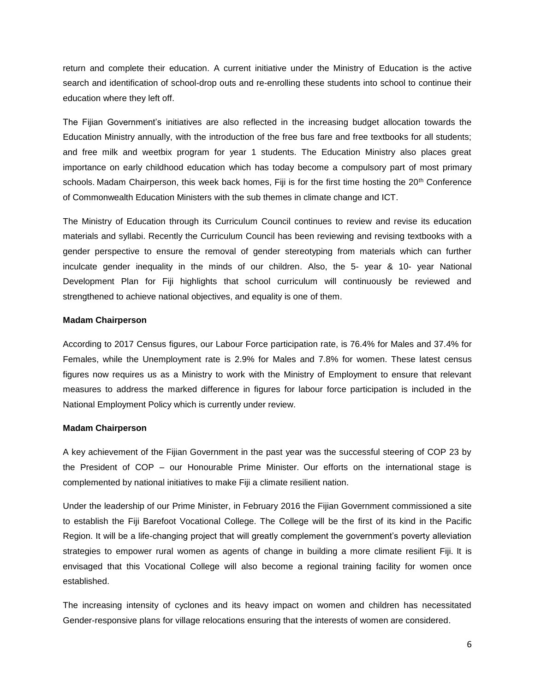return and complete their education. A current initiative under the Ministry of Education is the active search and identification of school-drop outs and re-enrolling these students into school to continue their education where they left off.

The Fijian Government's initiatives are also reflected in the increasing budget allocation towards the Education Ministry annually, with the introduction of the free bus fare and free textbooks for all students; and free milk and weetbix program for year 1 students. The Education Ministry also places great importance on early childhood education which has today become a compulsory part of most primary schools. Madam Chairperson, this week back homes, Fiji is for the first time hosting the 20<sup>th</sup> Conference of Commonwealth Education Ministers with the sub themes in climate change and ICT.

The Ministry of Education through its Curriculum Council continues to review and revise its education materials and syllabi. Recently the Curriculum Council has been reviewing and revising textbooks with a gender perspective to ensure the removal of gender stereotyping from materials which can further inculcate gender inequality in the minds of our children. Also, the 5- year & 10- year National Development Plan for Fiji highlights that school curriculum will continuously be reviewed and strengthened to achieve national objectives, and equality is one of them.

#### **Madam Chairperson**

According to 2017 Census figures, our Labour Force participation rate, is 76.4% for Males and 37.4% for Females, while the Unemployment rate is 2.9% for Males and 7.8% for women. These latest census figures now requires us as a Ministry to work with the Ministry of Employment to ensure that relevant measures to address the marked difference in figures for labour force participation is included in the National Employment Policy which is currently under review.

#### **Madam Chairperson**

A key achievement of the Fijian Government in the past year was the successful steering of COP 23 by the President of COP – our Honourable Prime Minister. Our efforts on the international stage is complemented by national initiatives to make Fiji a climate resilient nation.

Under the leadership of our Prime Minister, in February 2016 the Fijian Government commissioned a site to establish the Fiji Barefoot Vocational College. The College will be the first of its kind in the Pacific Region. It will be a life-changing project that will greatly complement the government's poverty alleviation strategies to empower rural women as agents of change in building a more climate resilient Fiji. It is envisaged that this Vocational College will also become a regional training facility for women once established.

The increasing intensity of cyclones and its heavy impact on women and children has necessitated Gender-responsive plans for village relocations ensuring that the interests of women are considered.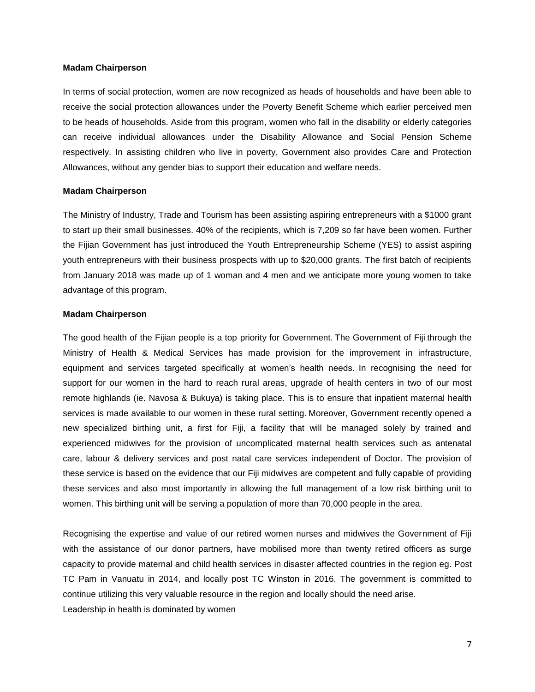#### **Madam Chairperson**

In terms of social protection, women are now recognized as heads of households and have been able to receive the social protection allowances under the Poverty Benefit Scheme which earlier perceived men to be heads of households. Aside from this program, women who fall in the disability or elderly categories can receive individual allowances under the Disability Allowance and Social Pension Scheme respectively. In assisting children who live in poverty, Government also provides Care and Protection Allowances, without any gender bias to support their education and welfare needs.

#### **Madam Chairperson**

The Ministry of Industry, Trade and Tourism has been assisting aspiring entrepreneurs with a \$1000 grant to start up their small businesses. 40% of the recipients, which is 7,209 so far have been women. Further the Fijian Government has just introduced the Youth Entrepreneurship Scheme (YES) to assist aspiring youth entrepreneurs with their business prospects with up to \$20,000 grants. The first batch of recipients from January 2018 was made up of 1 woman and 4 men and we anticipate more young women to take advantage of this program.

#### **Madam Chairperson**

The good health of the Fijian people is a top priority for Government. The Government of Fiji through the Ministry of Health & Medical Services has made provision for the improvement in infrastructure, equipment and services targeted specifically at women's health needs. In recognising the need for support for our women in the hard to reach rural areas, upgrade of health centers in two of our most remote highlands (ie. Navosa & Bukuya) is taking place. This is to ensure that inpatient maternal health services is made available to our women in these rural setting. Moreover, Government recently opened a new specialized birthing unit, a first for Fiji, a facility that will be managed solely by trained and experienced midwives for the provision of uncomplicated maternal health services such as antenatal care, labour & delivery services and post natal care services independent of Doctor. The provision of these service is based on the evidence that our Fiji midwives are competent and fully capable of providing these services and also most importantly in allowing the full management of a low risk birthing unit to women. This birthing unit will be serving a population of more than 70,000 people in the area.

Recognising the expertise and value of our retired women nurses and midwives the Government of Fiji with the assistance of our donor partners, have mobilised more than twenty retired officers as surge capacity to provide maternal and child health services in disaster affected countries in the region eg. Post TC Pam in Vanuatu in 2014, and locally post TC Winston in 2016. The government is committed to continue utilizing this very valuable resource in the region and locally should the need arise. Leadership in health is dominated by women